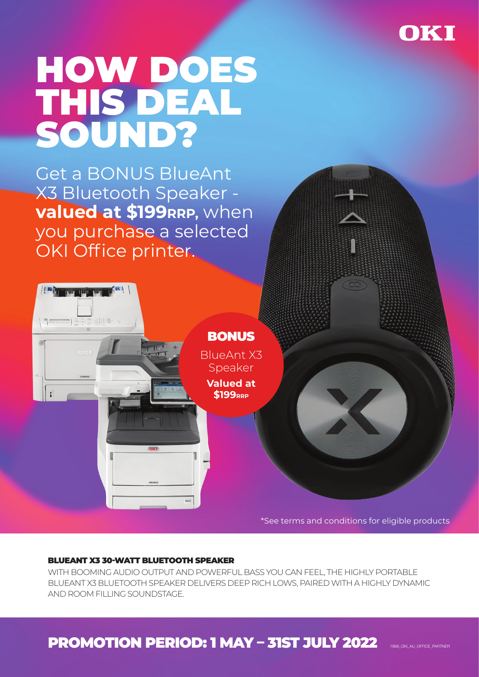

# HOW DOES THIS DEAL SOUND?

Get a BONUS BlueAnt X3 Bluetooth Speaker **valued at \$199RRP, when** you purchase a selected OKI Office printer.



### BLUEANT X3 30-WATT BLUETOOTH SPEAKER

WITH BOOMING AUDIO OUTPUT AND POWERFUL BASS YOU CAN FEEL, THE HIGHLY PORTABLE BLUEANT X3 BLUETOOTH SPEAKER DELIVERS DEEP RICH LOWS, PAIRED WITH A HIGHLY DYNAMIC AND ROOM FILLING SOUNDSTAGE.

# PROMOTION PERIOD: 1 MAY – 31ST JULY 2022 7888\_OKI\_AU\_OFFICE\_PARTNER